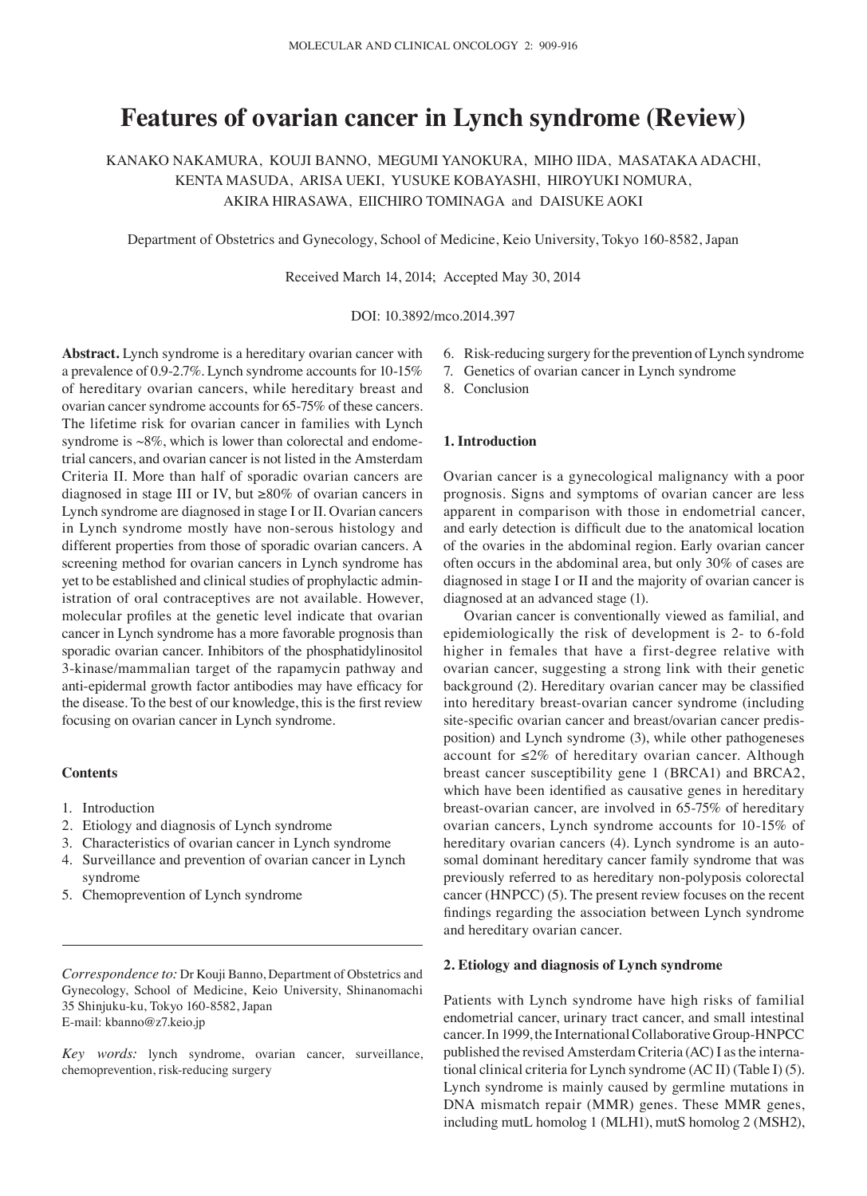# **Features of ovarian cancer in Lynch syndrome (Review)**

KANAKO NAKAMURA, KOUJI BANNO, MEGUMI YANOKURA, MIHO IIDA, MASATAKA ADACHI, KENTA MASUDA, ARISA UEKI, YUSUKE KOBAYASHI, HIROYUKI NOMURA, AKIRA HIRASAWA, EIICHIRO TOMINAGA and DAISUKE AOKI

Department of Obstetrics and Gynecology, School of Medicine, Keio University, Tokyo 160-8582, Japan

Received March 14, 2014; Accepted May 30, 2014

DOI: 10.3892/mco.2014.397

**Abstract.** Lynch syndrome is a hereditary ovarian cancer with a prevalence of 0.9-2.7%. Lynch syndrome accounts for 10-15% of hereditary ovarian cancers, while hereditary breast and ovarian cancer syndrome accounts for 65-75% of these cancers. The lifetime risk for ovarian cancer in families with Lynch syndrome is  $\sim 8\%$ , which is lower than colorectal and endometrial cancers, and ovarian cancer is not listed in the Amsterdam Criteria II. More than half of sporadic ovarian cancers are diagnosed in stage III or IV, but ≥80% of ovarian cancers in Lynch syndrome are diagnosed in stage I or II. Ovarian cancers in Lynch syndrome mostly have non-serous histology and different properties from those of sporadic ovarian cancers. A screening method for ovarian cancers in Lynch syndrome has yet to be established and clinical studies of prophylactic administration of oral contraceptives are not available. However, molecular profiles at the genetic level indicate that ovarian cancer in Lynch syndrome has a more favorable prognosis than sporadic ovarian cancer. Inhibitors of the phosphatidylinositol 3-kinase/mammalian target of the rapamycin pathway and anti‑epidermal growth factor antibodies may have efficacy for the disease. To the best of our knowledge, this is the first review focusing on ovarian cancer in Lynch syndrome.

### **Contents**

- 1. Introduction
- 2. Etiology and diagnosis of Lynch syndrome
- 3. Characteristics of ovarian cancer in Lynch syndrome
- 4. Surveillance and prevention of ovarian cancer in Lynch syndrome
- 5. Chemoprevention of Lynch syndrome

*Correspondence to:* Dr Kouji Banno, Department of Obstetrics and Gynecology, School of Medicine, Keio University, Shinanomachi 35 Shinjuku-ku, Tokyo 160-8582, Japan E-mail: kbanno@z7.keio.jp

*Key words:* lynch syndrome, ovarian cancer, surveillance, chemoprevention, risk-reducing surgery

- 6. Risk-reducing surgery for the prevention of Lynch syndrome
- 7. Genetics of ovarian cancer in Lynch syndrome
- 8. Conclusion

#### **1. Introduction**

Ovarian cancer is a gynecological malignancy with a poor prognosis. Signs and symptoms of ovarian cancer are less apparent in comparison with those in endometrial cancer, and early detection is difficult due to the anatomical location of the ovaries in the abdominal region. Early ovarian cancer often occurs in the abdominal area, but only 30% of cases are diagnosed in stage I or II and the majority of ovarian cancer is diagnosed at an advanced stage (1).

Ovarian cancer is conventionally viewed as familial, and epidemiologically the risk of development is 2- to 6-fold higher in females that have a first-degree relative with ovarian cancer, suggesting a strong link with their genetic background (2). Hereditary ovarian cancer may be classified into hereditary breast-ovarian cancer syndrome (including site-specific ovarian cancer and breast/ovarian cancer predisposition) and Lynch syndrome (3), while other pathogeneses account for  $\leq 2\%$  of hereditary ovarian cancer. Although breast cancer susceptibility gene 1 (BRCA1) and BRCA2, which have been identified as causative genes in hereditary breast-ovarian cancer, are involved in 65-75% of hereditary ovarian cancers, Lynch syndrome accounts for 10-15% of hereditary ovarian cancers (4). Lynch syndrome is an autosomal dominant hereditary cancer family syndrome that was previously referred to as hereditary non-polyposis colorectal cancer (HNPCC) (5). The present review focuses on the recent findings regarding the association between Lynch syndrome and hereditary ovarian cancer.

## **2. Etiology and diagnosis of Lynch syndrome**

Patients with Lynch syndrome have high risks of familial endometrial cancer, urinary tract cancer, and small intestinal cancer. In 1999, the International Collaborative Group-HNPCC published the revised Amsterdam Criteria (AC)I as the international clinical criteria for Lynch syndrome (AC II) (Table I) (5). Lynch syndrome is mainly caused by germline mutations in DNA mismatch repair (MMR) genes. These MMR genes, including mutL homolog 1 (MLH1), mutS homolog 2 (MSH2),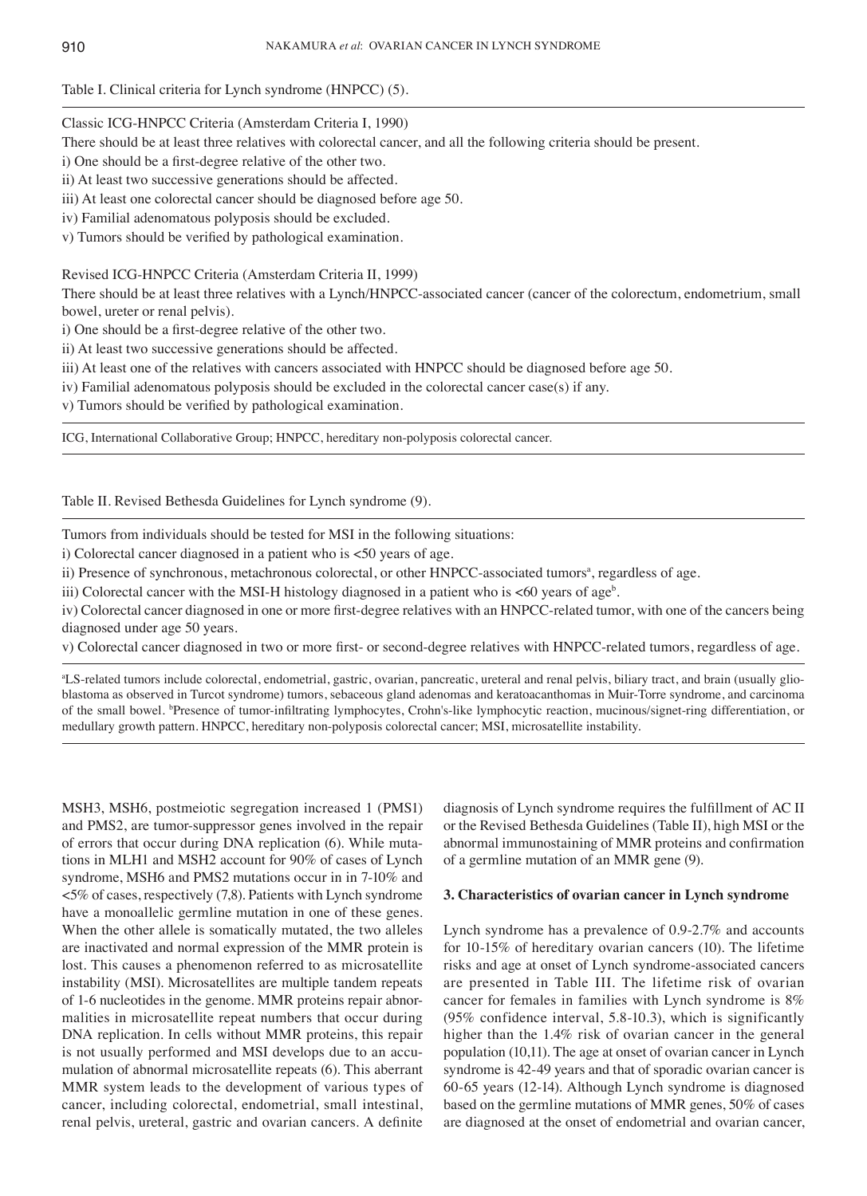## Table I. Clinical criteria for Lynch syndrome (HNPCC) (5).

## Classic ICG-HNPCC Criteria (Amsterdam Criteria I, 1990)

There should be at least three relatives with colorectal cancer, and all the following criteria should be present.

i) One should be a first-degree relative of the other two.

ii) At least two successive generations should be affected.

iii) At least one colorectal cancer should be diagnosed before age 50.

iv) Familial adenomatous polyposis should be excluded.

v) Tumors should be verified by pathological examination.

## Revised ICG-HNPCC Criteria (Amsterdam Criteria II, 1999)

There should be at least three relatives with a Lynch/HNPCC-associated cancer (cancer of the colorectum, endometrium, small bowel, ureter or renal pelvis).

i) One should be a first‑degree relative of the other two.

ii) At least two successive generations should be affected.

iii) At least one of the relatives with cancers associated with HNPCC should be diagnosed before age 50.

iv) Familial adenomatous polyposis should be excluded in the colorectal cancer case(s) if any.

v) Tumors should be verified by pathological examination.

ICG, International Collaborative Group; HNPCC, hereditary non-polyposis colorectal cancer.

Table II. Revised Bethesda Guidelines for Lynch syndrome (9).

Tumors from individuals should be tested for MSI in the following situations:

i) Colorectal cancer diagnosed in a patient who is <50 years of age.

ii) Presence of synchronous, metachronous colorectal, or other HNPCC-associated tumors<sup>a</sup>, regardless of age.

iii) Colorectal cancer with the MSI-H histology diagnosed in a patient who is  $\textless 60$  years of age<sup>b</sup>.

iv) Colorectal cancer diagnosed in one or more first-degree relatives with an HNPCC-related tumor, with one of the cancers being diagnosed under age 50 years.

v) Colorectal cancer diagnosed in two or more first- or second-degree relatives with HNPCC-related tumors, regardless of age.

a LS-related tumors include colorectal, endometrial, gastric, ovarian, pancreatic, ureteral and renal pelvis, biliary tract, and brain (usually glioblastoma as observed in Turcot syndrome) tumors, sebaceous gland adenomas and keratoacanthomas in Muir-Torre syndrome, and carcinoma of the small bowel. *Presence of tumor-infiltrating lymphocytes*, Crohn's-like lymphocytic reaction, mucinous/signet-ring differentiation, or medullary growth pattern. HNPCC, hereditary non-polyposis colorectal cancer; MSI, microsatellite instability.

MSH3, MSH6, postmeiotic segregation increased 1 (PMS1) and PMS2, are tumor-suppressor genes involved in the repair of errors that occur during DNA replication (6). While mutations in MLH1 and MSH2 account for 90% of cases of Lynch syndrome, MSH6 and PMS2 mutations occur in in 7-10% and <5% of cases, respectively (7,8). Patients with Lynch syndrome have a monoallelic germline mutation in one of these genes. When the other allele is somatically mutated, the two alleles are inactivated and normal expression of the MMR protein is lost. This causes a phenomenon referred to as microsatellite instability (MSI). Microsatellites are multiple tandem repeats of 1-6 nucleotides in the genome. MMR proteins repair abnormalities in microsatellite repeat numbers that occur during DNA replication. In cells without MMR proteins, this repair is not usually performed and MSI develops due to an accumulation of abnormal microsatellite repeats (6). This aberrant MMR system leads to the development of various types of cancer, including colorectal, endometrial, small intestinal, renal pelvis, ureteral, gastric and ovarian cancers. A definite

diagnosis of Lynch syndrome requires the fulfillment of AC II or the Revised Bethesda Guidelines (Table II), high MSI or the abnormal immunostaining of MMR proteins and confirmation of a germline mutation of an MMR gene (9).

#### **3. Characteristics of ovarian cancer in Lynch syndrome**

Lynch syndrome has a prevalence of 0.9-2.7% and accounts for 10-15% of hereditary ovarian cancers (10). The lifetime risks and age at onset of Lynch syndrome-associated cancers are presented in Table III. The lifetime risk of ovarian cancer for females in families with Lynch syndrome is 8% (95% confidence interval, 5.8-10.3), which is significantly higher than the 1.4% risk of ovarian cancer in the general population (10,11). The age at onset of ovarian cancer in Lynch syndrome is 42-49 years and that of sporadic ovarian cancer is 60-65 years (12-14). Although Lynch syndrome is diagnosed based on the germline mutations of MMR genes, 50% of cases are diagnosed at the onset of endometrial and ovarian cancer,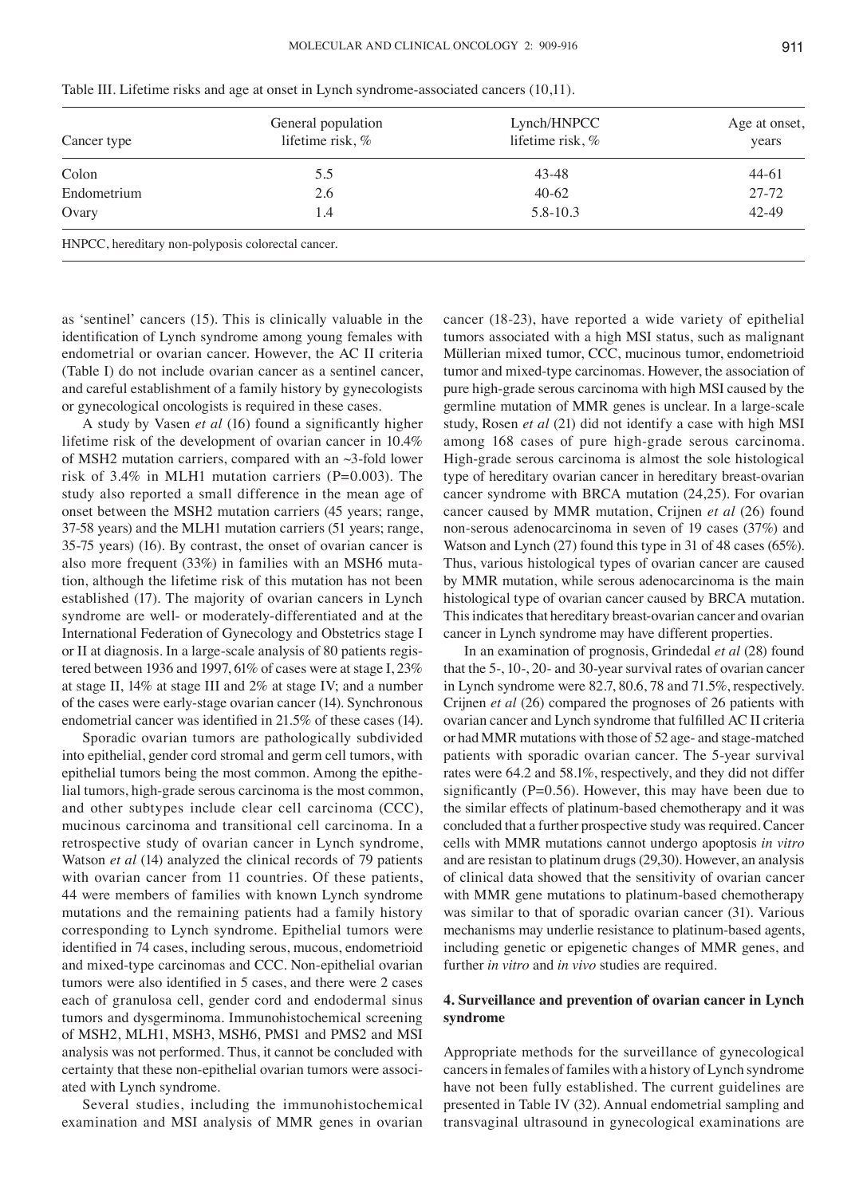| Cancer type                                        | General population<br>lifetime risk, % | Lynch/HNPCC<br>lifetime risk, % | Age at onset,<br>years |
|----------------------------------------------------|----------------------------------------|---------------------------------|------------------------|
| Colon                                              | 5.5                                    | 43-48                           | $44-61$                |
| Endometrium                                        | 2.6                                    | $40-62$                         | 27-72                  |
| Ovary                                              | 1.4                                    | 5.8-10.3                        | $42 - 49$              |
| HNPCC, hereditary non-polyposis colorectal cancer. |                                        |                                 |                        |

Table III. Lifetime risks and age at onset in Lynch syndrome-associated cancers (10,11).

as 'sentinel' cancers (15). This is clinically valuable in the identification of Lynch syndrome among young females with endometrial or ovarian cancer. However, the AC II criteria (Table I) do not include ovarian cancer as a sentinel cancer, and careful establishment of a family history by gynecologists or gynecological oncologists is required in these cases.

A study by Vasen *et al* (16) found a significantly higher lifetime risk of the development of ovarian cancer in 10.4% of MSH2 mutation carriers, compared with an ~3-fold lower risk of 3.4% in MLH1 mutation carriers (P=0.003). The study also reported a small difference in the mean age of onset between the MSH2 mutation carriers (45 years; range, 37-58 years) and the MLH1 mutation carriers (51 years; range, 35-75 years) (16). By contrast, the onset of ovarian cancer is also more frequent (33%) in families with an MSH6 mutation, although the lifetime risk of this mutation has not been established (17). The majority of ovarian cancers in Lynch syndrome are well- or moderately-differentiated and at the International Federation of Gynecology and Obstetrics stage I or II at diagnosis. In a large-scale analysis of 80 patients registered between 1936 and 1997, 61% of cases were at stage I, 23% at stage II, 14% at stage III and 2% at stage IV; and a number of the cases were early-stage ovarian cancer (14). Synchronous endometrial cancer was identified in 21.5% of these cases (14).

Sporadic ovarian tumors are pathologically subdivided into epithelial, gender cord stromal and germ cell tumors, with epithelial tumors being the most common. Among the epithelial tumors, high-grade serous carcinoma is the most common, and other subtypes include clear cell carcinoma (CCC), mucinous carcinoma and transitional cell carcinoma. In a retrospective study of ovarian cancer in Lynch syndrome, Watson *et al* (14) analyzed the clinical records of 79 patients with ovarian cancer from 11 countries. Of these patients, 44 were members of families with known Lynch syndrome mutations and the remaining patients had a family history corresponding to Lynch syndrome. Epithelial tumors were identified in 74 cases, including serous, mucous, endometrioid and mixed-type carcinomas and CCC. Non-epithelial ovarian tumors were also identified in 5 cases, and there were 2 cases each of granulosa cell, gender cord and endodermal sinus tumors and dysgerminoma. Immunohistochemical screening of MSH2, MLH1, MSH3, MSH6, PMS1 and PMS2 and MSI analysis was not performed. Thus, it cannot be concluded with certainty that these non-epithelial ovarian tumors were associated with Lynch syndrome.

Several studies, including the immunohistochemical examination and MSI analysis of MMR genes in ovarian cancer (18-23), have reported a wide variety of epithelial tumors associated with a high MSI status, such as malignant Müllerian mixed tumor, CCC, mucinous tumor, endometrioid tumor and mixed-type carcinomas. However, the association of pure high-grade serous carcinoma with high MSI caused by the germline mutation of MMR genes is unclear. In a large-scale study, Rosen *et al* (21) did not identify a case with high MSI among 168 cases of pure high-grade serous carcinoma. High-grade serous carcinoma is almost the sole histological type of hereditary ovarian cancer in hereditary breast-ovarian cancer syndrome with BRCA mutation (24,25). For ovarian cancer caused by MMR mutation, Crijnen *et al* (26) found non-serous adenocarcinoma in seven of 19 cases (37%) and Watson and Lynch (27) found this type in 31 of 48 cases (65%). Thus, various histological types of ovarian cancer are caused by MMR mutation, while serous adenocarcinoma is the main histological type of ovarian cancer caused by BRCA mutation. This indicates that hereditary breast-ovarian cancer and ovarian cancer in Lynch syndrome may have different properties.

In an examination of prognosis, Grindedal *et al* (28) found that the 5-, 10-, 20- and 30-year survival rates of ovarian cancer in Lynch syndrome were 82.7, 80.6, 78 and 71.5%, respectively. Crijnen *et al* (26) compared the prognoses of 26 patients with ovarian cancer and Lynch syndrome that fulfilled AC II criteria or had MMR mutations with those of 52 age- and stage-matched patients with sporadic ovarian cancer. The 5-year survival rates were 64.2 and 58.1%, respectively, and they did not differ significantly ( $P=0.56$ ). However, this may have been due to the similar effects of platinum-based chemotherapy and it was concluded that a further prospective study was required. Cancer cells with MMR mutations cannot undergo apoptosis *in vitro* and are resistan to platinum drugs (29,30). However, an analysis of clinical data showed that the sensitivity of ovarian cancer with MMR gene mutations to platinum-based chemotherapy was similar to that of sporadic ovarian cancer (31). Various mechanisms may underlie resistance to platinum-based agents, including genetic or epigenetic changes of MMR genes, and further *in vitro* and *in vivo* studies are required.

## **4. Surveillance and prevention of ovarian cancer in Lynch syndrome**

Appropriate methods for the surveillance of gynecological cancers in females of familes with a history of Lynch syndrome have not been fully established. The current guidelines are presented in Table IV (32). Annual endometrial sampling and transvaginal ultrasound in gynecological examinations are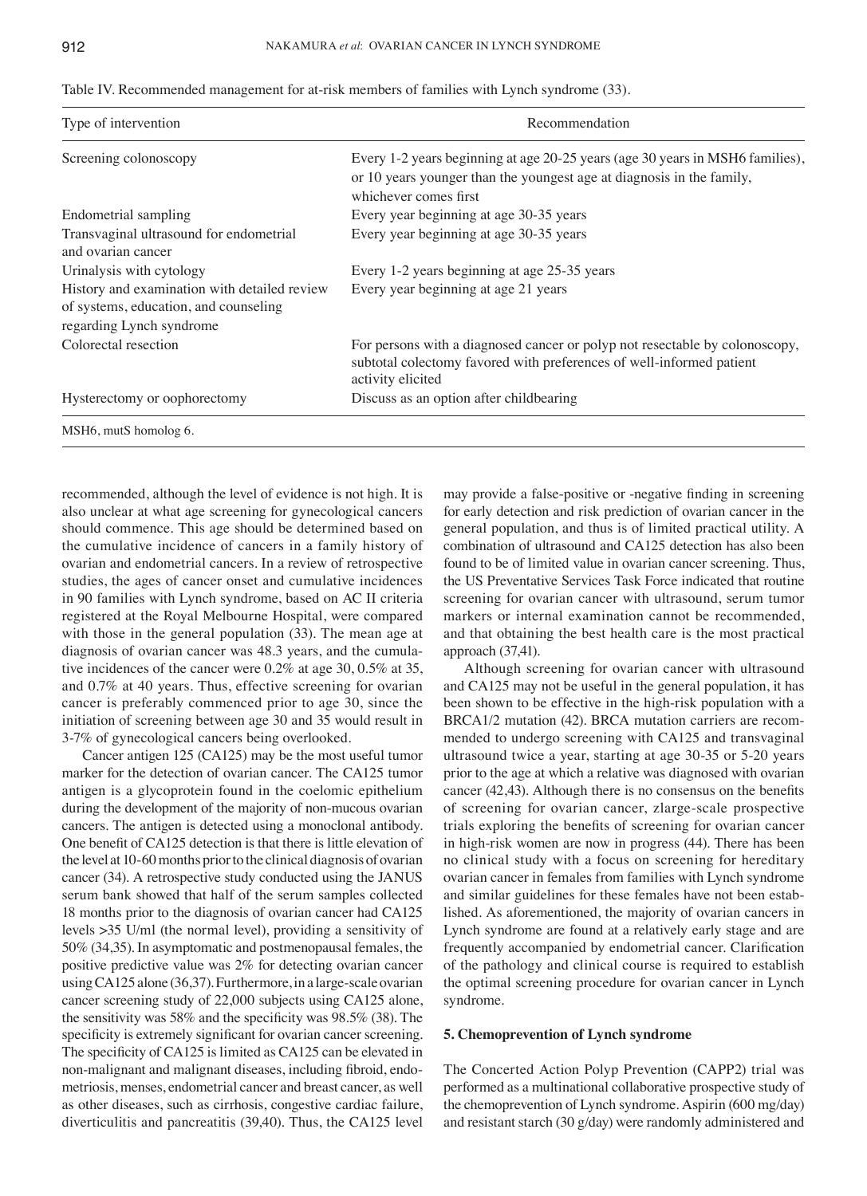| Type of intervention                                                                                              | Recommendation                                                                                                                                                                  |  |
|-------------------------------------------------------------------------------------------------------------------|---------------------------------------------------------------------------------------------------------------------------------------------------------------------------------|--|
| Screening colonoscopy                                                                                             | Every 1-2 years beginning at age 20-25 years (age 30 years in MSH6 families),<br>or 10 years younger than the youngest age at diagnosis in the family,<br>whichever comes first |  |
| Endometrial sampling                                                                                              | Every year beginning at age 30-35 years                                                                                                                                         |  |
| Transvaginal ultrasound for endometrial<br>and ovarian cancer                                                     | Every year beginning at age 30-35 years                                                                                                                                         |  |
| Urinalysis with cytology                                                                                          | Every 1-2 years beginning at age 25-35 years                                                                                                                                    |  |
| History and examination with detailed review<br>of systems, education, and counseling<br>regarding Lynch syndrome | Every year beginning at age 21 years                                                                                                                                            |  |
| Colorectal resection                                                                                              | For persons with a diagnosed cancer or polyp not resectable by colonoscopy,<br>subtotal colectomy favored with preferences of well-informed patient<br>activity elicited        |  |
| Hysterectomy or oophorectomy                                                                                      | Discuss as an option after childbearing                                                                                                                                         |  |
| MSH6, mutS homolog 6.                                                                                             |                                                                                                                                                                                 |  |

Table IV. Recommended management for at-risk members of families with Lynch syndrome (33).

recommended, although the level of evidence is not high. It is also unclear at what age screening for gynecological cancers should commence. This age should be determined based on the cumulative incidence of cancers in a family history of ovarian and endometrial cancers. In a review of retrospective studies, the ages of cancer onset and cumulative incidences in 90 families with Lynch syndrome, based on AC II criteria registered at the Royal Melbourne Hospital, were compared with those in the general population (33). The mean age at diagnosis of ovarian cancer was 48.3 years, and the cumulative incidences of the cancer were 0.2% at age 30, 0.5% at 35, and 0.7% at 40 years. Thus, effective screening for ovarian cancer is preferably commenced prior to age 30, since the initiation of screening between age 30 and 35 would result in 3-7% of gynecological cancers being overlooked.

Cancer antigen 125 (CA125) may be the most useful tumor marker for the detection of ovarian cancer. The CA125 tumor antigen is a glycoprotein found in the coelomic epithelium during the development of the majority of non-mucous ovarian cancers. The antigen is detected using a monoclonal antibody. One benefit of CA125 detection is that there is little elevation of the level at 10-60 months prior to the clinical diagnosis of ovarian cancer (34). A retrospective study conducted using the JANUS serum bank showed that half of the serum samples collected 18 months prior to the diagnosis of ovarian cancer had CA125 levels >35 U/ml (the normal level), providing a sensitivity of 50% (34,35). In asymptomatic and postmenopausal females, the positive predictive value was 2% for detecting ovarian cancer using CA125 alone (36,37). Furthermore, in a large-scale ovarian cancer screening study of 22,000 subjects using CA125 alone, the sensitivity was 58% and the specificity was 98.5% (38). The specificity is extremely significant for ovarian cancer screening. The specificity of CA125 is limited as CA125 can be elevated in non‑malignant and malignant diseases, including fibroid, endometriosis, menses, endometrial cancer and breast cancer, as well as other diseases, such as cirrhosis, congestive cardiac failure, diverticulitis and pancreatitis (39,40). Thus, the CA125 level may provide a false-positive or -negative finding in screening for early detection and risk prediction of ovarian cancer in the general population, and thus is of limited practical utility. A combination of ultrasound and CA125 detection has also been found to be of limited value in ovarian cancer screening. Thus, the US Preventative Services Task Force indicated that routine screening for ovarian cancer with ultrasound, serum tumor markers or internal examination cannot be recommended, and that obtaining the best health care is the most practical approach (37,41).

Although screening for ovarian cancer with ultrasound and CA125 may not be useful in the general population, it has been shown to be effective in the high-risk population with a BRCA1/2 mutation (42). BRCA mutation carriers are recommended to undergo screening with CA125 and transvaginal ultrasound twice a year, starting at age 30-35 or 5-20 years prior to the age at which a relative was diagnosed with ovarian cancer (42,43). Although there is no consensus on the benefits of screening for ovarian cancer, zlarge-scale prospective trials exploring the benefits of screening for ovarian cancer in high-risk women are now in progress (44). There has been no clinical study with a focus on screening for hereditary ovarian cancer in females from families with Lynch syndrome and similar guidelines for these females have not been established. As aforementioned, the majority of ovarian cancers in Lynch syndrome are found at a relatively early stage and are frequently accompanied by endometrial cancer. Clarification of the pathology and clinical course is required to establish the optimal screening procedure for ovarian cancer in Lynch syndrome.

#### **5. Chemoprevention of Lynch syndrome**

The Concerted Action Polyp Prevention (CAPP2) trial was performed as a multinational collaborative prospective study of the chemoprevention of Lynch syndrome. Aspirin (600 mg/day) and resistant starch (30 g/day) were randomly administered and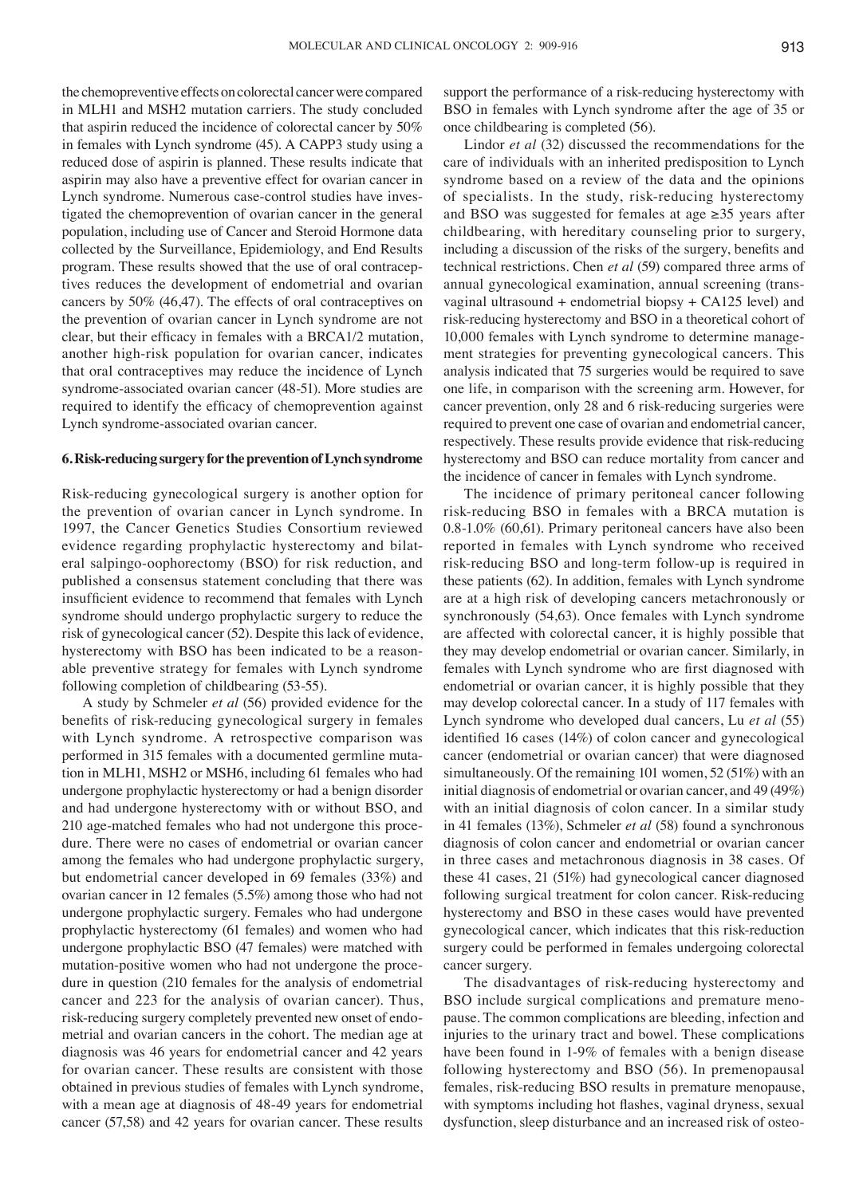the chemopreventive effects on colorectal cancer were compared in MLH1 and MSH2 mutation carriers. The study concluded that aspirin reduced the incidence of colorectal cancer by 50% in females with Lynch syndrome (45). A CAPP3 study using a reduced dose of aspirin is planned. These results indicate that aspirin may also have a preventive effect for ovarian cancer in Lynch syndrome. Numerous case-control studies have investigated the chemoprevention of ovarian cancer in the general population, including use of Cancer and Steroid Hormone data collected by the Surveillance, Epidemiology, and End Results program. These results showed that the use of oral contraceptives reduces the development of endometrial and ovarian cancers by 50% (46,47). The effects of oral contraceptives on the prevention of ovarian cancer in Lynch syndrome are not clear, but their efficacy in females with a BRCA1/2 mutation, another high-risk population for ovarian cancer, indicates that oral contraceptives may reduce the incidence of Lynch syndrome-associated ovarian cancer (48-51). More studies are required to identify the efficacy of chemoprevention against Lynch syndrome-associated ovarian cancer.

#### **6. Risk‑reducing surgery for the prevention of Lynch syndrome**

Risk-reducing gynecological surgery is another option for the prevention of ovarian cancer in Lynch syndrome. In 1997, the Cancer Genetics Studies Consortium reviewed evidence regarding prophylactic hysterectomy and bilateral salpingo-oophorectomy (BSO) for risk reduction, and published a consensus statement concluding that there was insufficient evidence to recommend that females with Lynch syndrome should undergo prophylactic surgery to reduce the risk of gynecological cancer (52). Despite this lack of evidence, hysterectomy with BSO has been indicated to be a reasonable preventive strategy for females with Lynch syndrome following completion of childbearing (53-55).

A study by Schmeler *et al* (56) provided evidence for the benefits of risk-reducing gynecological surgery in females with Lynch syndrome. A retrospective comparison was performed in 315 females with a documented germline mutation in MLH1, MSH2 or MSH6, including 61 females who had undergone prophylactic hysterectomy or had a benign disorder and had undergone hysterectomy with or without BSO, and 210 age-matched females who had not undergone this procedure. There were no cases of endometrial or ovarian cancer among the females who had undergone prophylactic surgery, but endometrial cancer developed in 69 females (33%) and ovarian cancer in 12 females (5.5%) among those who had not undergone prophylactic surgery. Females who had undergone prophylactic hysterectomy (61 females) and women who had undergone prophylactic BSO (47 females) were matched with mutation-positive women who had not undergone the procedure in question (210 females for the analysis of endometrial cancer and 223 for the analysis of ovarian cancer). Thus, risk-reducing surgery completely prevented new onset of endometrial and ovarian cancers in the cohort. The median age at diagnosis was 46 years for endometrial cancer and 42 years for ovarian cancer. These results are consistent with those obtained in previous studies of females with Lynch syndrome, with a mean age at diagnosis of 48-49 years for endometrial cancer (57,58) and 42 years for ovarian cancer. These results

support the performance of a risk-reducing hysterectomy with BSO in females with Lynch syndrome after the age of 35 or once childbearing is completed (56).

Lindor *et al* (32) discussed the recommendations for the care of individuals with an inherited predisposition to Lynch syndrome based on a review of the data and the opinions of specialists. In the study, risk-reducing hysterectomy and BSO was suggested for females at age ≥35 years after childbearing, with hereditary counseling prior to surgery, including a discussion of the risks of the surgery, benefits and technical restrictions. Chen *et al* (59) compared three arms of annual gynecological examination, annual screening (transvaginal ultrasound  $+$  endometrial biopsy  $+$  CA125 level) and risk-reducing hysterectomy and BSO in a theoretical cohort of 10,000 females with Lynch syndrome to determine management strategies for preventing gynecological cancers. This analysis indicated that 75 surgeries would be required to save one life, in comparison with the screening arm. However, for cancer prevention, only 28 and 6 risk-reducing surgeries were required to prevent one case of ovarian and endometrial cancer, respectively. These results provide evidence that risk-reducing hysterectomy and BSO can reduce mortality from cancer and the incidence of cancer in females with Lynch syndrome.

The incidence of primary peritoneal cancer following risk-reducing BSO in females with a BRCA mutation is 0.8-1.0% (60,61). Primary peritoneal cancers have also been reported in females with Lynch syndrome who received risk-reducing BSO and long-term follow-up is required in these patients (62). In addition, females with Lynch syndrome are at a high risk of developing cancers metachronously or synchronously (54,63). Once females with Lynch syndrome are affected with colorectal cancer, it is highly possible that they may develop endometrial or ovarian cancer. Similarly, in females with Lynch syndrome who are first diagnosed with endometrial or ovarian cancer, it is highly possible that they may develop colorectal cancer. In a study of 117 females with Lynch syndrome who developed dual cancers, Lu *et al* (55) identified 16 cases (14%) of colon cancer and gynecological cancer (endometrial or ovarian cancer) that were diagnosed simultaneously. Of the remaining 101 women, 52 (51%) with an initial diagnosis of endometrial or ovarian cancer, and 49 (49%) with an initial diagnosis of colon cancer. In a similar study in 41 females (13%), Schmeler *et al* (58) found a synchronous diagnosis of colon cancer and endometrial or ovarian cancer in three cases and metachronous diagnosis in 38 cases. Of these 41 cases, 21 (51%) had gynecological cancer diagnosed following surgical treatment for colon cancer. Risk-reducing hysterectomy and BSO in these cases would have prevented gynecological cancer, which indicates that this risk-reduction surgery could be performed in females undergoing colorectal cancer surgery.

The disadvantages of risk-reducing hysterectomy and BSO include surgical complications and premature menopause. The common complications are bleeding, infection and injuries to the urinary tract and bowel. These complications have been found in 1-9% of females with a benign disease following hysterectomy and BSO (56). In premenopausal females, risk-reducing BSO results in premature menopause, with symptoms including hot flashes, vaginal dryness, sexual dysfunction, sleep disturbance and an increased risk of osteo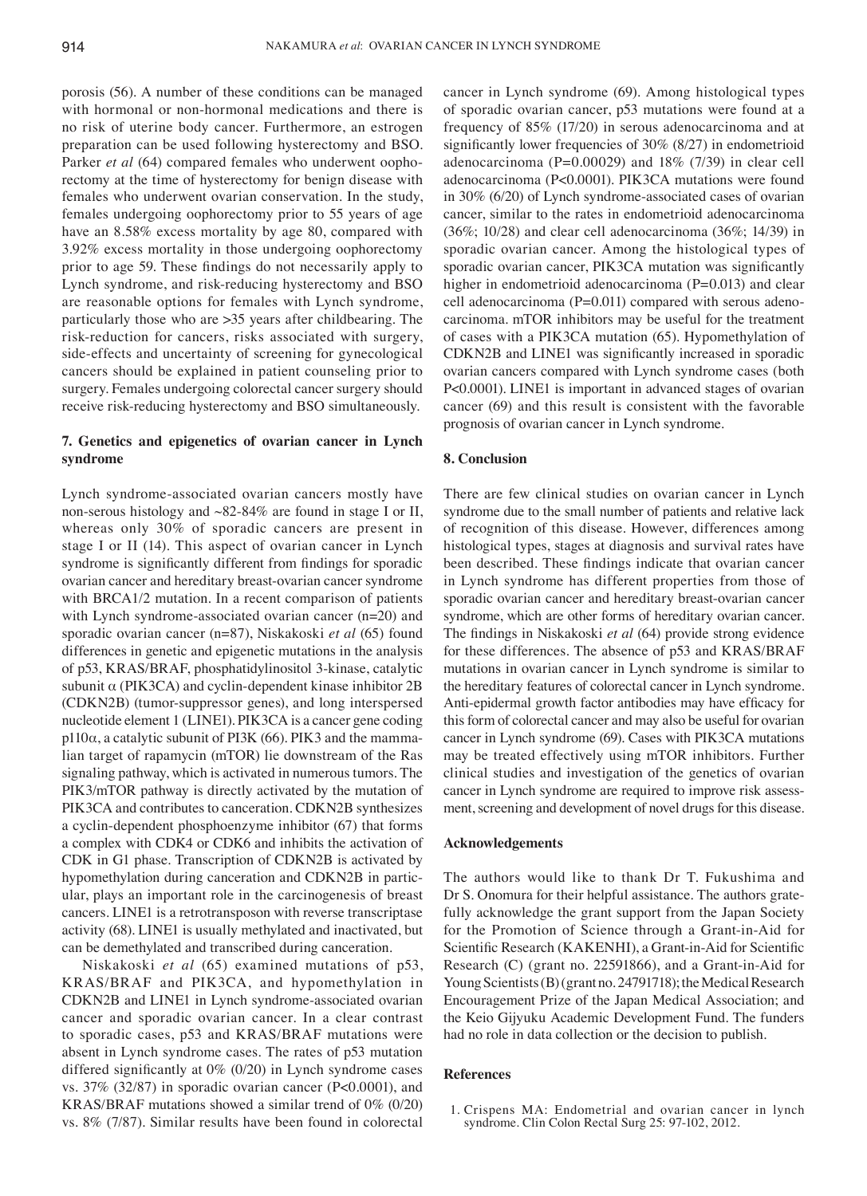porosis (56). A number of these conditions can be managed with hormonal or non-hormonal medications and there is no risk of uterine body cancer. Furthermore, an estrogen preparation can be used following hysterectomy and BSO. Parker *et al* (64) compared females who underwent oophorectomy at the time of hysterectomy for benign disease with females who underwent ovarian conservation. In the study, females undergoing oophorectomy prior to 55 years of age have an 8.58% excess mortality by age 80, compared with 3.92% excess mortality in those undergoing oophorectomy prior to age 59. These findings do not necessarily apply to Lynch syndrome, and risk-reducing hysterectomy and BSO are reasonable options for females with Lynch syndrome, particularly those who are >35 years after childbearing. The risk-reduction for cancers, risks associated with surgery, side-effects and uncertainty of screening for gynecological cancers should be explained in patient counseling prior to surgery. Females undergoing colorectal cancer surgery should receive risk-reducing hysterectomy and BSO simultaneously.

## **7. Genetics and epigenetics of ovarian cancer in Lynch syndrome**

Lynch syndrome-associated ovarian cancers mostly have non-serous histology and ~82-84% are found in stage I or II, whereas only 30% of sporadic cancers are present in stage I or II (14). This aspect of ovarian cancer in Lynch syndrome is significantly different from findings for sporadic ovarian cancer and hereditary breast-ovarian cancer syndrome with BRCA1/2 mutation. In a recent comparison of patients with Lynch syndrome-associated ovarian cancer (n=20) and sporadic ovarian cancer (n=87), Niskakoski *et al* (65) found differences in genetic and epigenetic mutations in the analysis of p53, KRAS/BRAF, phosphatidylinositol 3-kinase, catalytic subunit  $\alpha$  (PIK3CA) and cyclin-dependent kinase inhibitor 2B (CDKN2B) (tumor-suppressor genes), and long interspersed nucleotide element 1 (LINE1). PIK3CA is a cancer gene coding p110 $α$ , a catalytic subunit of PI3K (66). PIK3 and the mammalian target of rapamycin (mTOR) lie downstream of the Ras signaling pathway, which is activated in numerous tumors. The PIK3/mTOR pathway is directly activated by the mutation of PIK3CA and contributes to canceration. CDKN2B synthesizes a cyclin-dependent phosphoenzyme inhibitor (67) that forms a complex with CDK4 or CDK6 and inhibits the activation of CDK in G1 phase. Transcription of CDKN2B is activated by hypomethylation during canceration and CDKN2B in particular, plays an important role in the carcinogenesis of breast cancers. LINE1 is a retrotransposon with reverse transcriptase activity (68). LINE1 is usually methylated and inactivated, but can be demethylated and transcribed during canceration.

Niskakoski *et al* (65) examined mutations of p53, KRAS/BRAF and PIK3CA, and hypomethylation in CDKN2B and LINE1 in Lynch syndrome-associated ovarian cancer and sporadic ovarian cancer. In a clear contrast to sporadic cases, p53 and KRAS/BRAF mutations were absent in Lynch syndrome cases. The rates of p53 mutation differed significantly at 0% (0/20) in Lynch syndrome cases vs. 37% (32/87) in sporadic ovarian cancer (P<0.0001), and KRAS/BRAF mutations showed a similar trend of 0% (0/20) vs. 8% (7/87). Similar results have been found in colorectal cancer in Lynch syndrome (69). Among histological types of sporadic ovarian cancer, p53 mutations were found at a frequency of 85% (17/20) in serous adenocarcinoma and at significantly lower frequencies of 30% (8/27) in endometrioid adenocarcinoma (P=0.00029) and 18% (7/39) in clear cell adenocarcinoma (P<0.0001). PIK3CA mutations were found in 30% (6/20) of Lynch syndrome-associated cases of ovarian cancer, similar to the rates in endometrioid adenocarcinoma (36%; 10/28) and clear cell adenocarcinoma (36%; 14/39) in sporadic ovarian cancer. Among the histological types of sporadic ovarian cancer, PIK3CA mutation was significantly higher in endometrioid adenocarcinoma (P=0.013) and clear cell adenocarcinoma  $(P=0.011)$  compared with serous adenocarcinoma. mTOR inhibitors may be useful for the treatment of cases with a PIK3CA mutation (65). Hypomethylation of CDKN2B and LINE1 was significantly increased in sporadic ovarian cancers compared with Lynch syndrome cases (both P<0.0001). LINE1 is important in advanced stages of ovarian cancer (69) and this result is consistent with the favorable prognosis of ovarian cancer in Lynch syndrome.

## **8. Conclusion**

There are few clinical studies on ovarian cancer in Lynch syndrome due to the small number of patients and relative lack of recognition of this disease. However, differences among histological types, stages at diagnosis and survival rates have been described. These findings indicate that ovarian cancer in Lynch syndrome has different properties from those of sporadic ovarian cancer and hereditary breast-ovarian cancer syndrome, which are other forms of hereditary ovarian cancer. The findings in Niskakoski *et al* (64) provide strong evidence for these differences. The absence of p53 and KRAS/BRAF mutations in ovarian cancer in Lynch syndrome is similar to the hereditary features of colorectal cancer in Lynch syndrome. Anti‑epidermal growth factor antibodies may have efficacy for this form of colorectal cancer and may also be useful for ovarian cancer in Lynch syndrome (69). Cases with PIK3CA mutations may be treated effectively using mTOR inhibitors. Further clinical studies and investigation of the genetics of ovarian cancer in Lynch syndrome are required to improve risk assessment, screening and development of novel drugs for this disease.

## **Acknowledgements**

The authors would like to thank Dr T. Fukushima and Dr S. Onomura for their helpful assistance. The authors gratefully acknowledge the grant support from the Japan Society for the Promotion of Science through a Grant-in-Aid for Scientific Research (KAKENHI), a Grant‑in‑Aid for Scientific Research (C) (grant no. 22591866), and a Grant-in-Aid for Young Scientists(B) (grant no. 24791718); the Medical Research Encouragement Prize of the Japan Medical Association; and the Keio Gijyuku Academic Development Fund. The funders had no role in data collection or the decision to publish.

#### **References**

1. Crispens MA: Endometrial and ovarian cancer in lynch syndrome. Clin Colon Rectal Surg 25: 97-102, 2012.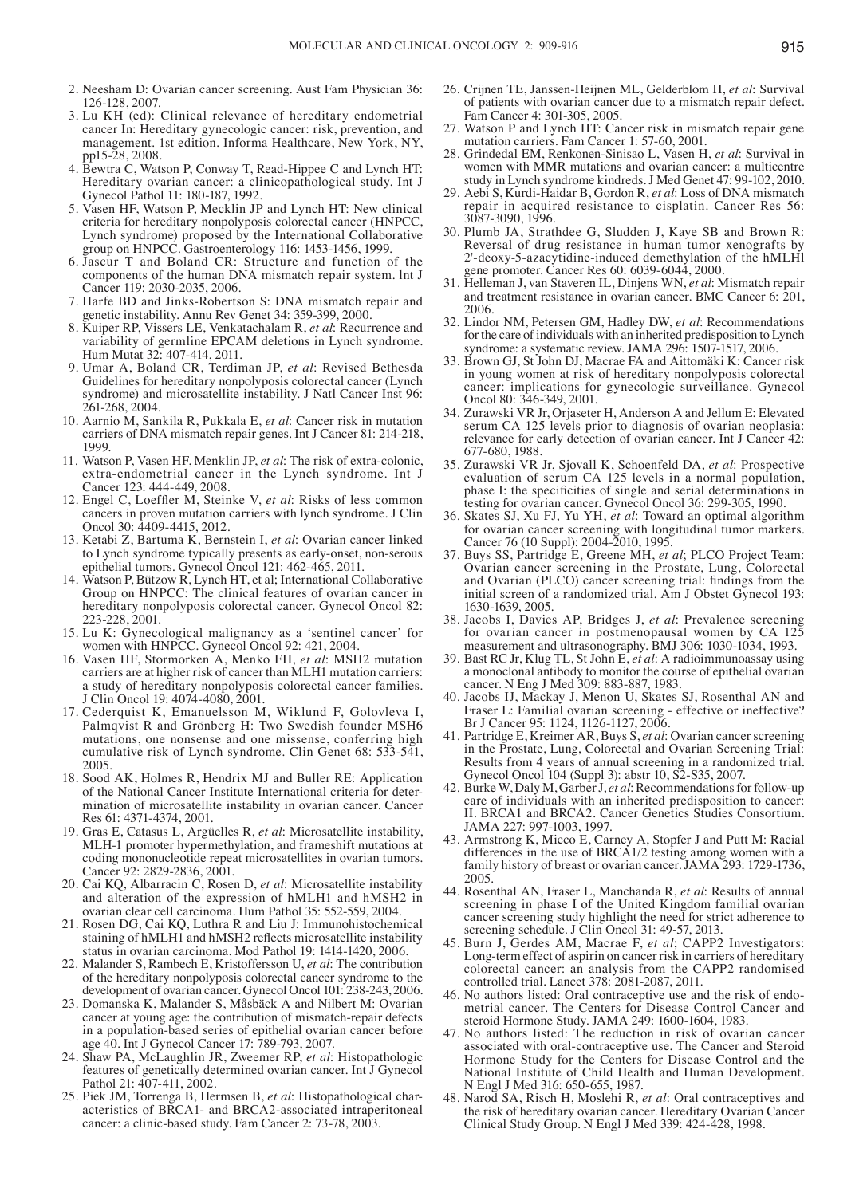- 2. Neesham D: Ovarian cancer screening. Aust Fam Physician 36: 126-128, 2007.
- 3. Lu KH (ed): Clinical relevance of hereditary endometrial cancer In: Hereditary gynecologic cancer: risk, prevention, and management. 1st edition. Informa Healthcare, New York, NY, pp15-28, 2008.
- 4. Bewtra C, Watson P, Conway T, Read-Hippee C and Lynch HT: Hereditary ovarian cancer: a clinicopathological study. Int J Gynecol Pathol 11: 180-187, 1992.
- 5. Vasen HF, Watson P, Mecklin JP and Lynch HT: New clinical criteria for hereditary nonpolyposis colorectal cancer (HNPCC, Lynch syndrome) proposed by the International Collaborative group on HNPCC. Gastroenterology 116: 1453-1456, 1999.
- 6. Jascur T and Boland CR: Structure and function of the components of the human DNA mismatch repair system. lnt J Cancer 119: 2030-2035, 2006.
- 7. Harfe BD and Jinks-Robertson S: DNA mismatch repair and genetic instability. Annu Rev Genet 34: 359-399, 2000.
- 8. Kuiper RP, Vissers LE, Venkatachalam R, *et al*: Recurrence and variability of germline EPCAM deletions in Lynch syndrome. Hum Mutat 32: 407-414, 2011.
- 9. Umar A, Boland CR, Terdiman JP, *et al*: Revised Bethesda Guidelines for hereditary nonpolyposis colorectal cancer (Lynch syndrome) and microsatellite instability. J Natl Cancer Inst 96: 261-268, 2004.
- 10. Aarnio M, Sankila R, Pukkala E, *et al*: Cancer risk in mutation carriers of DNA mismatch repair genes. Int J Cancer 81: 214-218, 1999.
- 11. Watson P, Vasen HF, Menklin JP, *et al*: The risk of extra-colonic, extra-endometrial cancer in the Lynch syndrome. Int J Cancer 123: 444-449, 2008.
- 12. Engel C, Loeffler M, Steinke V, *et al*: Risks of less common cancers in proven mutation carriers with lynch syndrome. J Clin Oncol 30: 4409-4415, 2012.
- 13. Ketabi Z, Bartuma K, Bernstein I, *et al*: Ovarian cancer linked to Lynch syndrome typically presents as early-onset, non-serous epithelial tumors. Gynecol Oncol 121: 462-465, 2011.
- 14. Watson P, Bützow R, Lynch HT, et al; International Collaborative Group on HNPCC: The clinical features of ovarian cancer in hereditary nonpolyposis colorectal cancer. Gynecol Oncol 82: 223-228, 2001.
- 15. Lu K: Gynecological malignancy as a 'sentinel cancer' for women with HNPCC. Gynecol Oncol 92: 421, 2004.
- 16. Vasen HF, Stormorken A, Menko FH, *et al*: MSH2 mutation carriers are at higher risk of cancer than MLH1 mutation carriers: a study of hereditary nonpolyposis colorectal cancer families. J Clin Oncol 19: 4074-4080, 2001.
- 17. Cederquist K, Emanuelsson M, Wiklund F, Golovleva I, Palmqvist R and Grönberg H: Two Swedish founder MSH6 mutations, one nonsense and one missense, conferring high cumulative risk of Lynch syndrome. Clin Genet 68: 533-541, 2005.
- 18. Sood AK, Holmes R, Hendrix MJ and Buller RE: Application of the National Cancer Institute International criteria for determination of microsatellite instability in ovarian cancer. Cancer Res 61: 4371-4374, 2001.
- 19. Gras E, Catasus L, Argüelles R, *et al*: Microsatellite instability, MLH-1 promoter hypermethylation, and frameshift mutations at coding mononucleotide repeat microsatellites in ovarian tumors. Cancer 92: 2829-2836, 2001.
- 20. Cai KQ, Albarracin C, Rosen D, *et al*: Microsatellite instability and alteration of the expression of hMLH1 and hMSH2 in ovarian clear cell carcinoma. Hum Pathol 35: 552-559, 2004.
- 21. Rosen DG, Cai KQ, Luthra R and Liu J: Immunohistochemical staining of hMLH1 and hMSH2 reflects microsatellite instability status in ovarian carcinoma. Mod Pathol 19: 1414-1420, 2006.
- 22. Malander S, Rambech E, Kristoffersson U, *et al*: The contribution of the hereditary nonpolyposis colorectal cancer syndrome to the development of ovarian cancer. Gynecol Oncol 101: 238-243, 2006.
- 23. Domanska K, Malander S, Måsbäck A and Nilbert M: Ovarian cancer at young age: the contribution of mismatch-repair defects in a population-based series of epithelial ovarian cancer before age 40. Int J Gynecol Cancer 17: 789-793, 2007.
- 24. Shaw PA, McLaughlin JR, Zweemer RP, *et al*: Histopathologic features of genetically determined ovarian cancer. Int J Gynecol Pathol 21: 407-411, 2002.
- 25. Piek JM, Torrenga B, Hermsen B, *et al*: Histopathological characteristics of BRCA1- and BRCA2-associated intraperitoneal cancer: a clinic-based study. Fam Cancer 2: 73-78, 2003.
- 26. Crijnen TE, Janssen-Heijnen ML, Gelderblom H, *et al*: Survival of patients with ovarian cancer due to a mismatch repair defect. Fam Cancer 4: 301-305, 2005.
- 27. Watson P and Lynch HT: Cancer risk in mismatch repair gene mutation carriers. Fam Cancer 1: 57-60, 2001.
- 28. Grindedal EM, Renkonen-Sinisao L, Vasen H, *et al*: Survival in women with MMR mutations and ovarian cancer: a multicentre study in Lynch syndrome kindreds. J Med Genet 47: 99-102, 2010.
- 29. Aebi S, Kurdi-Haidar B, Gordon R, *et al*: Loss of DNA mismatch repair in acquired resistance to cisplatin. Cancer Res 56: 3087-3090, 1996.
- 30. Plumb JA, Strathdee G, Sludden J, Kaye SB and Brown R: Reversal of drug resistance in human tumor xenografts by 2'-deoxy-5-azacytidine-induced demethylation of the hMLHl gene promoter. Cancer Res 60: 6039-6044, 2000.
- 31. Helleman J, van Staveren IL, Dinjens WN, *et al*: Mismatch repair and treatment resistance in ovarian cancer. BMC Cancer 6: 201, 2006.
- 32. Lindor NM, Petersen GM, Hadley DW, *et al*: Recommendations for the care of individuals with an inherited predisposition to Lynch syndrome: a systematic review. JAMA 296: 1507-1517, 2006.
- 33. Brown GJ, St John DJ, Macrae FA and Aittomäki K: Cancer risk in young women at risk of hereditary nonpolyposis colorectal cancer: implications for gynecologic surveillance. Gynecol Oncol 80: 346-349, 2001.
- 34. Zurawski VR Jr, Orjaseter H, Anderson A and Jellum E: Elevated serum CA 125 levels prior to diagnosis of ovarian neoplasia: relevance for early detection of ovarian cancer. Int J Cancer 42: 677-680, 1988.
- 35. Zurawski VR Jr, Sjovall K, Schoenfeld DA, *et al*: Prospective evaluation of serum CA 125 levels in a normal population, phase I: the specificities of single and serial determinations in testing for ovarian cancer. Gynecol Oncol 36: 299-305, 1990.
- 36. Skates SJ, Xu FJ, Yu YH, *et al*: Toward an optimal algorithm for ovarian cancer screening with longitudinal tumor markers. Cancer 76 (10 Suppl): 2004-2010, 1995.
- 37. Buys SS, Partridge E, Greene MH, *et al*; PLCO Project Team: Ovarian cancer screening in the Prostate, Lung, Colorectal and Ovarian (PLCO) cancer screening trial: findings from the initial screen of a randomized trial. Am J Obstet Gynecol 193: 1630-1639, 2005.
- 38. Jacobs I, Davies AP, Bridges J, *et al*: Prevalence screening for ovarian cancer in postmenopausal women by CA 125 measurement and ultrasonography. BMJ 306: 1030-1034, 1993.
- 39. Bast RC Jr, Klug TL, St John E, *et al*: A radioimmunoassay using a monoclonal antibody to monitor the course of epithelial ovarian cancer. N Eng J Med 309: 883-887, 1983.
- 40. Jacobs IJ, Mackay J, Menon U, Skates SJ, Rosenthal AN and Fraser L: Familial ovarian screening - effective or ineffective? Br J Cancer 95: 1124, 1126-1127, 2006.
- 41. Partridge E, Kreimer AR, Buys S, *et al*: Ovarian cancer screening in the Prostate, Lung, Colorectal and Ovarian Screening Trial: Results from 4 years of annual screening in a randomized trial. Gynecol Oncol 104 (Suppl 3): abstr 10, S2-S35, 2007.
- 42. Burke W, Daly M, Garber J, *et al*: Recommendations for follow-up care of individuals with an inherited predisposition to cancer: II. BRCA1 and BRCA2. Cancer Genetics Studies Consortium. JAMA 227: 997-1003, 1997.
- 43. Armstrong K, Micco E, Carney A, Stopfer J and Putt M: Racial differences in the use of BRCA1/2 testing among women with a family history of breast or ovarian cancer. JAMA 293: 1729-1736, 2005.
- 44. Rosenthal AN, Fraser L, Manchanda R, *et al*: Results of annual screening in phase I of the United Kingdom familial ovarian cancer screening study highlight the need for strict adherence to screening schedule. J Clin Oncol 31: 49-57, 2013.
- 45. Burn J, Gerdes AM, Macrae F, *et al*; CAPP2 Investigators: Long-term effect of aspirin on cancer risk in carriers of hereditary colorectal cancer: an analysis from the CAPP2 randomised controlled trial. Lancet 378: 2081-2087, 2011.
- metrial cancer. The Centers for Disease Control Cancer and steroid Hormone Study. JAMA 249: 1600-1604, 1983.
- 47. No authors listed: The reduction in risk of ovarian cancer associated with oral-contraceptive use. The Cancer and Steroid Hormone Study for the Centers for Disease Control and the National Institute of Child Health and Human Development. N Engl J Med 316: 650-655, 1987.
- 48. Narod SA, Risch H, Moslehi R, *et al*: Oral contraceptives and the risk of hereditary ovarian cancer. Hereditary Ovarian Cancer Clinical Study Group. N Engl J Med 339: 424-428, 1998.